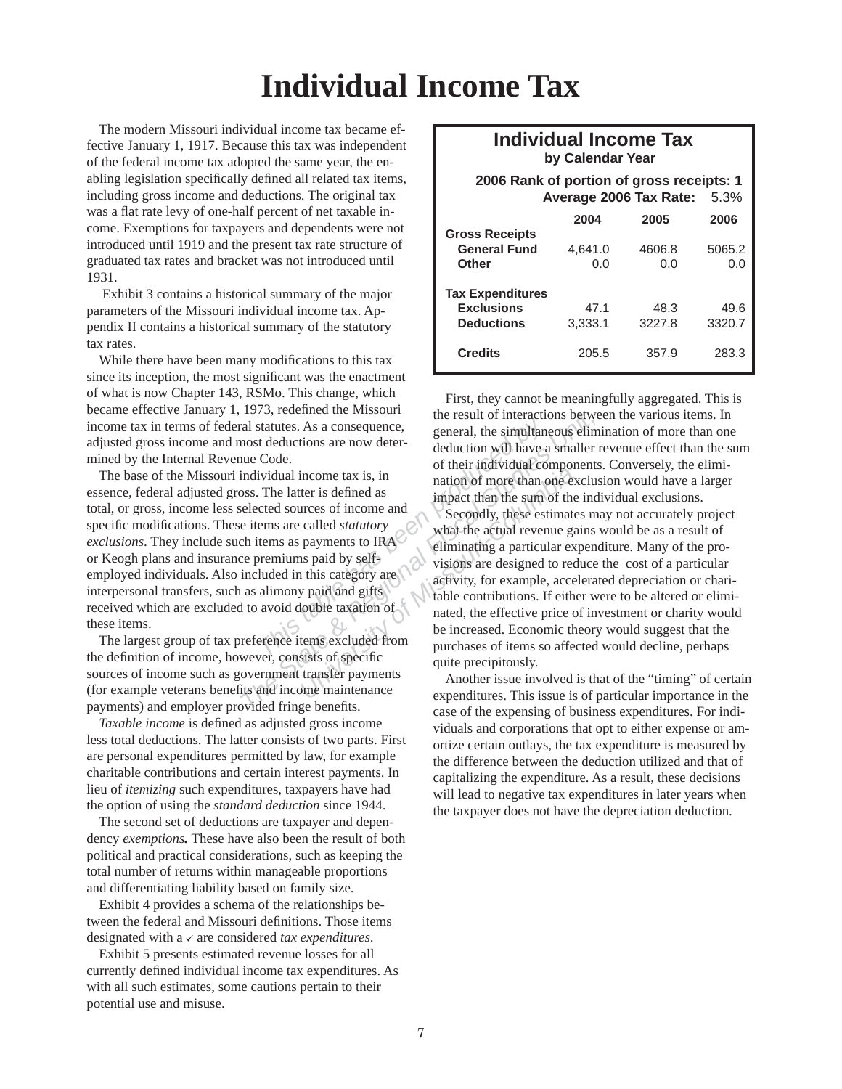## **Individual Income Tax**

The modern Missouri individual income tax became effective January 1, 1917. Because this tax was independent of the federal income tax adopted the same year, the enabling legislation specifically defined all related tax items, including gross income and deductions. The original tax was a flat rate levy of one-half percent of net taxable income. Exemptions for taxpayers and dependents were not introduced until 1919 and the present tax rate structure of graduated tax rates and bracket was not introduced until 1931.

 Exhibit 3 contains a historical summary of the major parameters of the Missouri individual income tax. Appendix II contains a historical summary of the statutory tax rates.

While there have been many modifications to this tax since its inception, the most significant was the enactment of what is now Chapter 143, RSMo. This change, which became effective January 1, 1973, redefined the Missouri income tax in terms of federal statutes. As a consequence, adjusted gross income and most deductions are now determined by the Internal Revenue Code.

The base of the Missouri individual income tax is, in essence, federal adjusted gross. The latter is defined as total, or gross, income less selected sources of income and specific modifications. These items are called *statutory exclusions*. They include such items as payments to IRA or Keogh plans and insurance premiums paid by selfemployed individuals. Also included in this category are interpersonal transfers, such as alimony paid and gifts received which are excluded to avoid double taxation of these items.

The largest group of tax preference items excluded from the definition of income, however, consists of specific sources of income such as government transfer payments (for example veterans benefits and income maintenance payments) and employer provided fringe benefits.

*Taxable income* is defined as adjusted gross income less total deductions. The latter consists of two parts. First are personal expenditures permitted by law, for example charitable contributions and certain interest payments. In lieu of *itemizing* such expenditures, taxpayers have had the option of using the *standard deduction* since 1944.

The second set of deductions are taxpayer and dependency *exemptions.* These have also been the result of both political and practical considerations, such as keeping the total number of returns within manageable proportions and differentiating liability based on family size.

Exhibit 4 provides a schema of the relationships between the federal and Missouri definitions. Those items designated with  $a \vee a$  reconsidered *tax expenditures*.

Exhibit 5 presents estimated revenue losses for all currently defined individual income tax expenditures. As with all such estimates, some cautions pertain to their potential use and misuse.

## **Individual Income Tax by Calendar Year**

 **2006 Rank of portion of gross receipts: 1 Average 2006 Tax Rate:** 5.3%

|                         | A       |        | <b>0.000</b> |
|-------------------------|---------|--------|--------------|
|                         | 2004    | 2005   | 2006         |
| <b>Gross Receipts</b>   |         |        |              |
| <b>General Fund</b>     | 4.641.0 | 4606.8 | 5065.2       |
| <b>Other</b>            | 0.0     | 0.0    | 0.0          |
|                         |         |        |              |
| <b>Tax Expenditures</b> |         |        |              |
| <b>Exclusions</b>       | 47.1    | 48.3   | 49.6         |
| <b>Deductions</b>       | 3,333.1 | 3227.8 | 3320.7       |
|                         |         |        |              |
| <b>Credits</b>          | 205.5   | 357.9  | 283.3        |
|                         |         |        |              |

Extractures. As a consequence,<br>
t deductions are now deter-<br>
Code.<br>
The latter is defined as<br>
ted sources of income and<br>
emax is, in<br>
The latter is defined as<br>
ted sources of income and<br>
emax are called *statutory*<br>
tems a The State of the result of interactions between all statutes. As a consequence,<br>
all state as a consequence,<br>
individual income tax is, in<br>
the result of their individual components<br>
the simplifered sources of income and<br> Francome tax is, in<br>
ter is defined as<br>
interes of income and<br>
called *statutory*<br>
payments to IRA<br>
is paid by self-<br>
ininating a particular ex-<br>
is paid by self-<br>
ininating a particular ex-<br>
visions are designed to record First, they cannot be meaningfully aggregated. This is the result of interactions between the various items. In general, the simultaneous elimination of more than one deduction will have a smaller revenue effect than the sum of their individual components. Conversely, the elimination of more than one exclusion would have a larger impact than the sum of the individual exclusions. Secondly, these estimates may not accurately project what the actual revenue gains would be as a result of eliminating a particular expenditure. Many of the provisions are designed to reduce the cost of a particular activity, for example, accelerated depreciation or charitable contributions. If either were to be altered or eliminated, the effective price of investment or charity would be increased. Economic theory would suggest that the purchases of items so affected would decline, perhaps quite precipitously.

Another issue involved is that of the "timing" of certain expenditures. This issue is of particular importance in the case of the expensing of business expenditures. For individuals and corporations that opt to either expense or amortize certain outlays, the tax expenditure is measured by the difference between the deduction utilized and that of capitalizing the expenditure. As a result, these decisions will lead to negative tax expenditures in later years when the taxpayer does not have the depreciation deduction.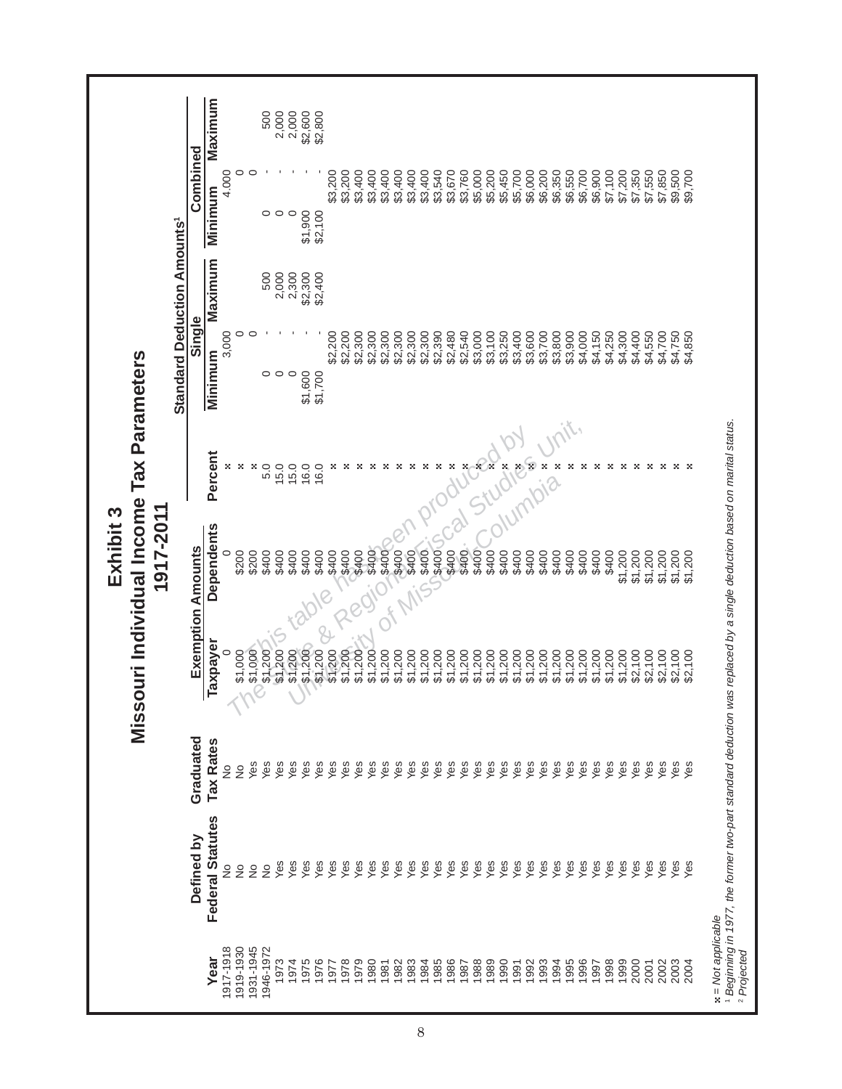|                                                      |                                    | Combined                 | Maximum<br><b>Minimum</b> | 4.000         | $\circ$       | $\circ$   | 500<br>$\circ$ | 2,000<br>$\circ$             | 2,000   | \$2,600<br>\$2,800<br>\$1,900<br>\$2,100 | \$3,200      | \$3,200 | \$3,400            | \$3,400 | \$3,400 | \$3,400 | \$3,400 | \$3,400 | \$3,540     | \$3,670 | \$3,760 | \$5,000 | \$5,200 | \$5,450 | \$5,700 | \$6,000 | \$6,200 | \$6,350<br>\$6,550 | \$6,700 | \$6,900 | \$7,100 | \$7,200 | \$7,350 | \$7,550 | \$7,850 | \$9,500 | \$9,700 |                      |                                                                                                                         |
|------------------------------------------------------|------------------------------------|--------------------------|---------------------------|---------------|---------------|-----------|----------------|------------------------------|---------|------------------------------------------|--------------|---------|--------------------|---------|---------|---------|---------|---------|-------------|---------|---------|---------|---------|---------|---------|---------|---------|--------------------|---------|---------|---------|---------|---------|---------|---------|---------|---------|----------------------|-------------------------------------------------------------------------------------------------------------------------|
| Tax Parameters                                       | <b>Standard Deduction Amounts'</b> | Single                   | Maximum<br>Minimum        | 3,000         | 0             | 0         | 500            | 2,000<br>$\circ \circ \circ$ | 2,300   | \$2,300<br>\$2,400<br>\$1,600<br>\$1,700 | \$2,200      | \$2,200 | \$2,300            | \$2,300 | \$2,300 | \$2,300 | \$2,300 | \$2,300 | \$2,390     | \$2,480 | \$2,540 | \$3,000 | \$3,100 | \$3,250 | \$3,400 | \$3,600 | \$3,700 | \$3,800<br>\$3,900 | \$4,000 | \$4,150 | \$4,250 | \$4,300 | \$4,400 | \$4,550 | \$4,700 | \$4,750 | \$4,850 |                      |                                                                                                                         |
|                                                      |                                    |                          | Percent                   |               | ×             | ×         | 5.0            | 15.0                         | 15.0    | 16.0<br>16.0                             | ×            | ×       |                    | ×       |         | ×       | ×       | ×       |             |         |         | фÖ      |         |         |         |         |         |                    |         |         |         |         |         | ×       | ×       | ×       |         |                      |                                                                                                                         |
| Missouri Individual Income<br>1917-2011<br>Exhibit 3 |                                    | <b>Exemption Amounts</b> | Dependents                |               | \$200         | \$200     | \$400          | \$400                        | \$400   | \$400<br>\$400                           | \$400        | \$400   | \$400              | \$400   | \$400   | \$400   | \$400   | \$400   | <b>POOS</b> | \$400   | \$400   | \$400   | \$400   | \$400   | \$400   | \$400   | \$400   | \$400<br>\$400     | \$400   | \$400   | \$400   | \$1,200 | \$1,200 | \$1,200 | \$1,200 | \$1,200 | \$1,200 |                      |                                                                                                                         |
|                                                      |                                    |                          | Taxpayer                  |               | \$1,000       | \$1,000   | \$1,200        | \$1,200                      | \$1,200 | \$1,200                                  | \$1,200      |         | \$1,200<br>\$1,200 | \$1,200 | \$1,200 | \$1,200 | \$1,200 | \$1,200 | \$1,200     | \$1,200 | \$1,200 | \$1,200 | \$1,200 | \$1,200 | \$1,200 | \$1,200 | \$1,200 | \$1,200<br>\$1,200 | \$1,200 | \$1,200 | \$1,200 | \$1,200 | \$2,100 | \$2,100 | \$2,100 | \$2,100 | \$2,100 |                      |                                                                                                                         |
|                                                      |                                    | Graduated                | <b>Tax Rates</b>          | ş             | $\frac{1}{2}$ | Yes       | Yes            | Yes                          | Yes     | Yes                                      | Yes<br>Yes   | Yes     | Yes                | Yes     | Yes     | Yes     | Yes     | Yes     | Yes         | Yes     | Yes     | Yes     | Yes     | Yes     | Yes     | Yes     | Yes     | Yes<br>Yes         | Yes     | Yes     | Yes     | Yes     | Yes     | Yes     | Yes     | Yes     | yes     |                      |                                                                                                                         |
|                                                      |                                    | Defined by               | Federal Statutes          | $\frac{1}{2}$ | $\frac{1}{2}$ | ş         | ş              | Yes                          | Yes     | Yes                                      | Yes<br>Yes   | Yes     | Yes                | Yes     | Yes     | Yes     | Yes     | Yes     | Yes         | Yes     | Yes     | Yes     | Yes     | Yes     | Yes     | Yes     | Yes     | Yes<br>Yes         | Yes     | Yes     | Yes     | Yes     | Yes     | Yes     | Yes     | yes     | Yes     |                      | 1 Beginning in 1977, the former two-part standard deduction was replaced by a single deduction based on marital status. |
|                                                      |                                    |                          | Year                      | 917-1918      | 919-1930      | 1931-1945 | 1946-1972      | 1973                         | 1974    | 975                                      | 1976<br>1977 | 1978    | 1979               | 1980    | 1981    | 1982    | 1983    | 1984    | 1985        | 1986    | 1987    | 1988    | 1989    | 1990    | 1991    | 1992    | 1993    | 1994<br>1995       | 1996    | 1997    | 1998    | 1999    | 2000    | 2001    | 2002    | 2003    | 2004    | $x = Not$ applicable | <sup>2</sup> Projected                                                                                                  |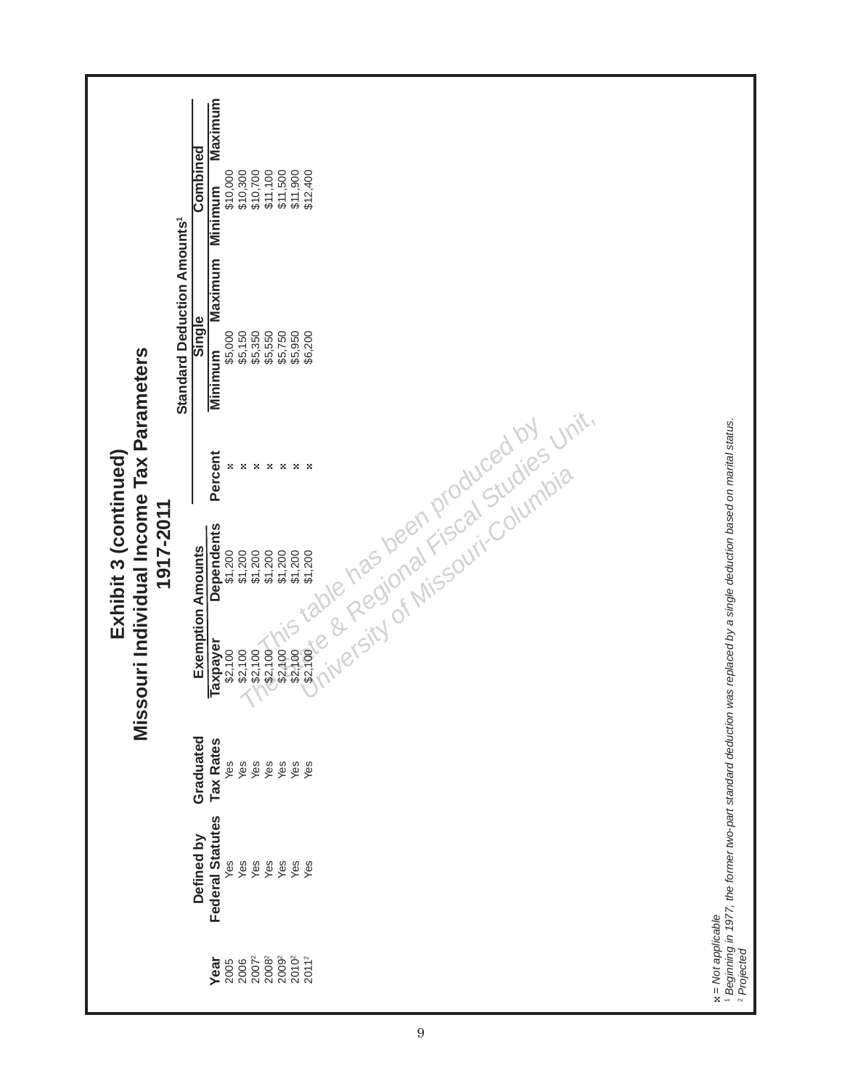| <b>Standard Deduction Amounts'</b><br>Missouri Individual Income Tax Parameters<br>Exhibit 3 (continued)<br>1917-2011 | Combined<br>Single                                  | Maximum<br>\$10,300<br>\$10,700<br>\$11,100<br>\$11,500<br>\$11,900<br>\$12,400<br>\$10,000<br><b>Minimum</b><br><b>Maximum</b><br>\$5,350<br>\$5,000<br>\$5,150<br>\$5,550<br>\$5,750<br>\$5,950<br>\$6,200<br>Minimum<br>Percent<br><b>Dependents</b>                                           |                                                                                                                                                                           |
|-----------------------------------------------------------------------------------------------------------------------|-----------------------------------------------------|---------------------------------------------------------------------------------------------------------------------------------------------------------------------------------------------------------------------------------------------------------------------------------------------------|---------------------------------------------------------------------------------------------------------------------------------------------------------------------------|
|                                                                                                                       | <b>Exemption Amounts</b><br>Graduated<br>Defined by | Research Manufacturing States of Miles<br><b>Taxpayer</b><br><b>Tax Rates</b><br>Yes<br>Yes<br>Yes<br>yes<br>Yes<br>Yes<br>Yes<br><b>Federal Statutes</b><br>Yes<br>Yes<br>Yes<br>Yes<br>Yes<br>yes<br>Yes<br>2007 <sup>2</sup><br>20092<br>$2010^2$<br>$2011^2$<br>20082<br>Year<br>2006<br>2005 | 1 Beginning in 1977, the former two-part standard deduction was replaced by a single deduction based on marital status.<br>$x = Not$ applicable<br><sup>2</sup> Projected |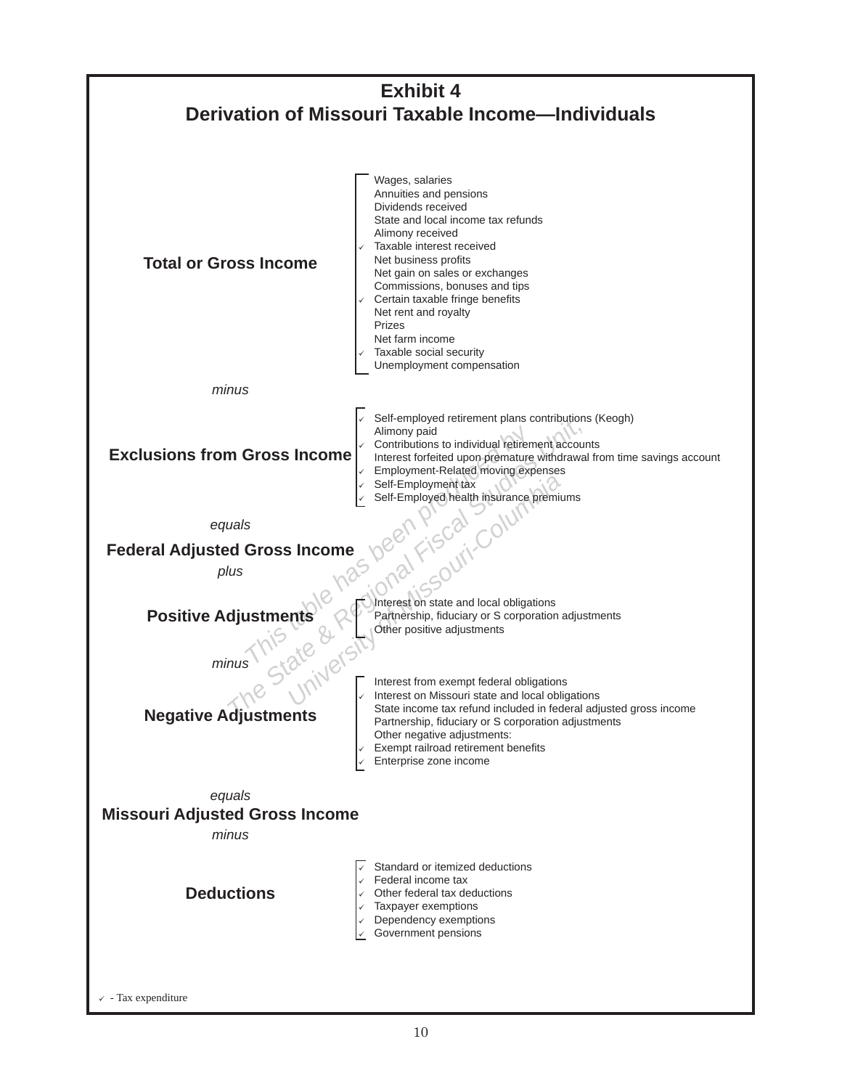

> - Tax expenditure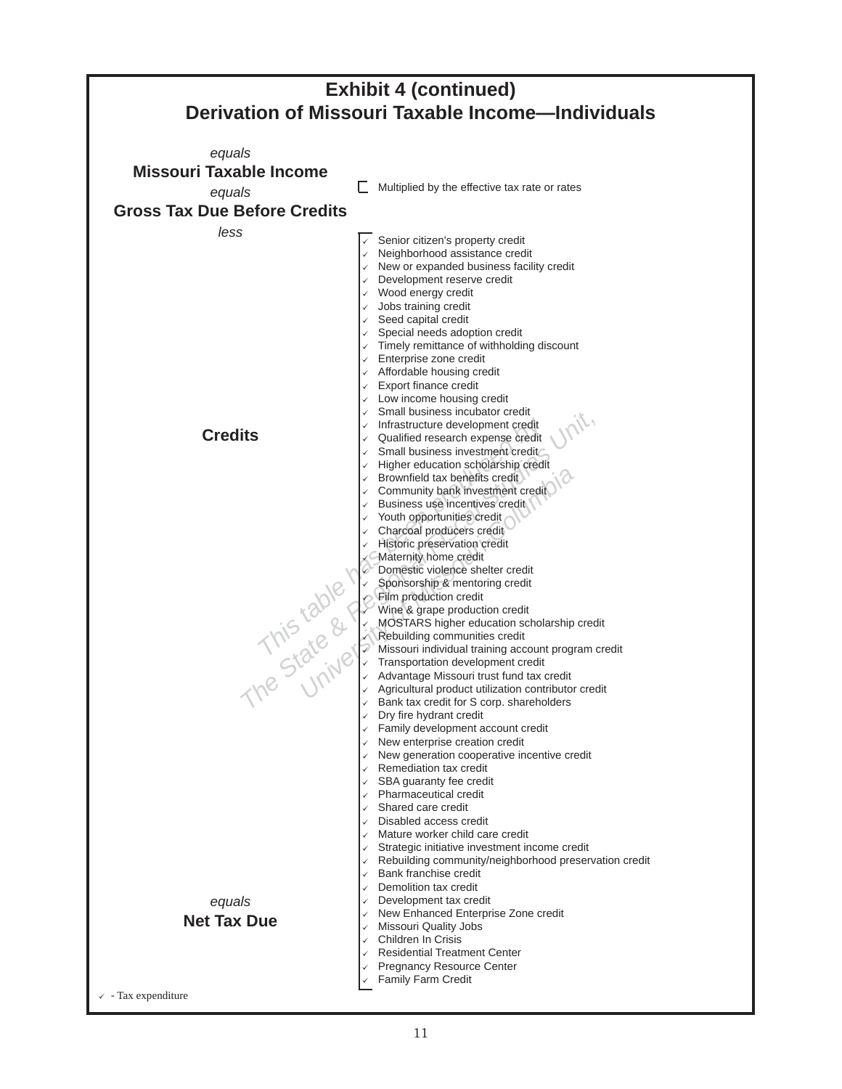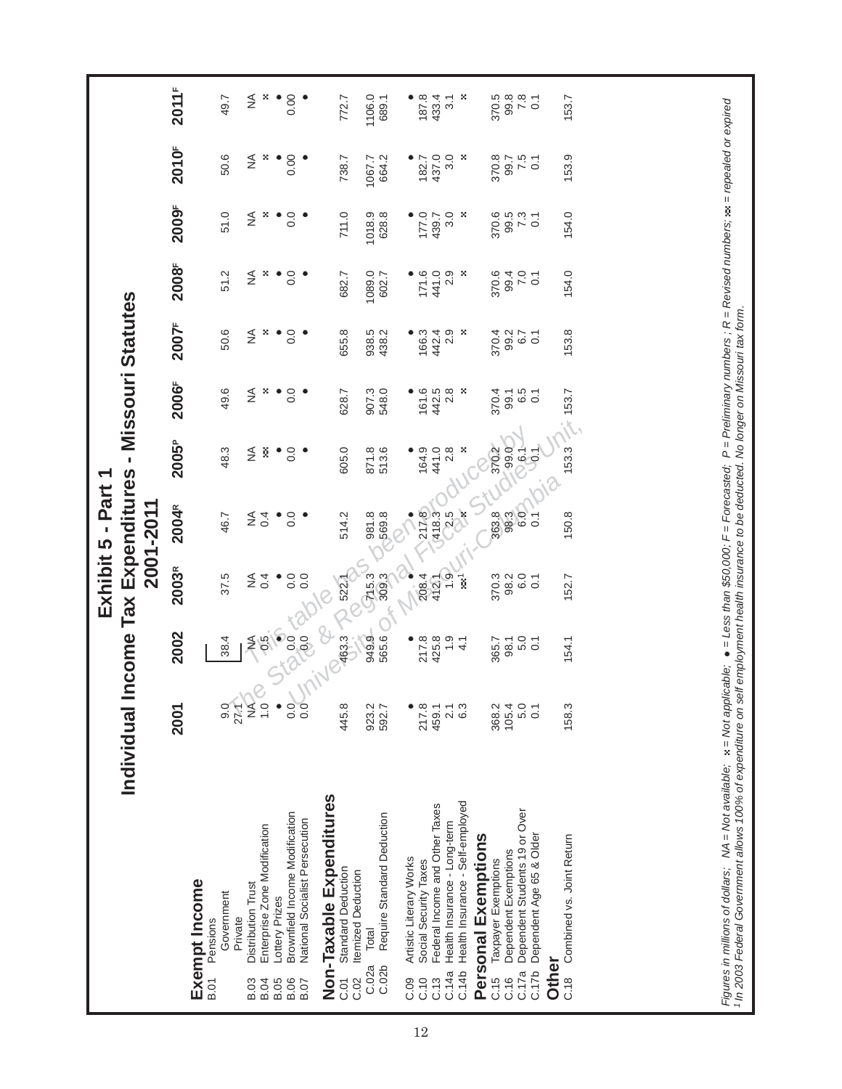|                            |                                                       |                                 |                          |                                             | Exhibit 5 - Part 1                         |                    |                |                  |                |        |                     |               |
|----------------------------|-------------------------------------------------------|---------------------------------|--------------------------|---------------------------------------------|--------------------------------------------|--------------------|----------------|------------------|----------------|--------|---------------------|---------------|
|                            | Individual                                            |                                 |                          |                                             | ncome Tax Expenditures - Missouri Statutes |                    |                |                  |                |        |                     |               |
|                            |                                                       | 2001                            | 2002                     | 2003R                                       | 2001-2011<br>2004R                         | 2005 <sup>P</sup>  | 2006F          | 2007F            | 2008F          | 2009F  | 2010 <sup>F</sup>   | 2011F         |
|                            | Exempt Income                                         |                                 |                          |                                             |                                            |                    |                |                  |                |        |                     |               |
| <b>B.01</b>                | Government<br>Pensions                                | 0.6                             | 38.4                     | 37.5                                        | 46.7                                       | 48.3               | 49.6           | 50.6             | 51.2           | 51.0   | 50.6                | 49.7          |
| <b>B.03</b>                | Distribution Trust<br>Private                         | <b>SAS</b><br>$27.4^{\circ}$    | ≸                        | ≨                                           | ≨                                          | ≨                  | ≨              | ≨                | ≨              | ≨      | ≸                   | ≨             |
| <b>B.04</b>                | Enterprise Zone Modification                          | $\overline{Q}$<br>$\frac{0}{1}$ |                          | 0.4                                         | 0.4                                        | š                  | ×              | ×                | ×              | ×      | ×                   | ×             |
| B.05<br>B.06<br>B.07       | Brownfield Income Modification<br>Lottery Prizes      | $rac{0}{0.0}$<br>$\bullet$      |                          | $\begin{array}{c}\n0.0 \\ 0.0\n\end{array}$ | 0.0                                        | $\frac{0}{0}$ .    | 0.0            | 0.0              | 0.0            | 0.0    | 0.00                | 0.00          |
|                            | National Socialist Persecution                        |                                 |                          |                                             |                                            |                    |                |                  |                |        |                     |               |
|                            | Non-Taxable Expenditures                              |                                 | $\mathcal{C}$            | $\overline{Q}$                              |                                            |                    |                |                  |                |        |                     |               |
| C.02<br>$\overline{C}$ .01 | Standard Deduction<br><b>Itemized Deduction</b>       | 445.8                           | $\frac{1}{\sqrt{263.3}}$ | 35227                                       | 514.2                                      | 605.0              | 628.7          | 655.8            | 682.7          | 711.0  | 738.7               | 772.7         |
|                            | Total<br>C.02a                                        | 923.2                           | 949.9                    | <b>P15.3</b>                                | 981.8                                      | 871.8<br>513.6     | 907.3<br>548.0 | 938.5<br>438.2   | 1089.0         | 1018.9 | 1067.7              | 1106.0        |
|                            | Require Standard Deduction<br>C.02b                   | 592.7                           | 565.6                    |                                             |                                            |                    |                |                  | 602.7          | 628.8  | 664.2               | 689.1         |
| C.09                       | Artistic Literary Works                               |                                 | ٠                        |                                             | ₹                                          | ٠                  |                |                  |                |        |                     |               |
| C.10                       | Social Security Taxes                                 | 217.8                           | 217.8<br>425.8<br>1.9    | 208.4                                       |                                            | 164.9              | 161.6          | 166.3            | 171.6          | 177.0  | 182.7               | 187.8         |
| C.13                       | Federal Income and Other Taxes                        | 459.1                           |                          | 412.1                                       |                                            | 441.0              | 442.5<br>2.8   | 442.4            | 441.0          | 439.7  | 437.0               | 433.4         |
| C.14a                      | Health Insurance - Long-term                          | 2.1                             |                          | 1.9                                         | 212835                                     | 2.8                |                | 2.9              | 2.9            | 3.0    | 3.0                 | 3.1           |
|                            | C.14b Health Insurance - Self-employed                | 6.3                             | $\frac{1}{4}$            | ī                                           |                                            | - 29               | -8             | ×                | ×              | - 29   | ×                   | ×             |
|                            | Personal Exemptions                                   |                                 |                          |                                             |                                            |                    |                |                  |                |        |                     |               |
| C.15                       | Taxpayer Exemptions                                   | 368.2                           | 365.7                    | 370.3<br>98.2                               | 363.3                                      | 370.2              | 370.4          | 370.4            | 370.6          | 370.6  | 370.8               | 370.5<br>99.8 |
| C.17a<br>C.16              | Dependent Students 19 or Over<br>Dependent Exemptions | 105.4<br>5.0                    | 98.1                     |                                             | 6.0                                        | 99.0               | 99.1<br>6.5    | 99.2<br>6.7      | 7.0<br>99.4    | 99.5   | $7.5$<br>7.5<br>0.1 |               |
|                            | C.17b Dependent Age 65 & Older                        | $\overline{0}$                  | $\frac{0}{0}$ .1         | $rac{0}{0}$ .1                              | .<br>०                                     | <b>P.6.1</b>       | $\overline{C}$ | $\overline{0}$ . | $\overline{C}$ | 7.3    |                     | $7.8$<br>0.1  |
|                            | Other                                                 |                                 |                          |                                             |                                            |                    |                |                  |                |        |                     |               |
| C.18                       | Combined vs. Joint Return                             | 158.3                           | 154.1                    | 152.7                                       | 150.8                                      | $153.3 \div 153.7$ |                | 153.8            | 154.0          | 154.0  | 153.9               | 153.7         |
|                            |                                                       |                                 |                          |                                             |                                            |                    |                |                  |                |        |                     |               |
|                            |                                                       |                                 |                          |                                             |                                            |                    |                |                  |                |        |                     |               |
|                            |                                                       |                                 |                          |                                             |                                            |                    |                |                  |                |        |                     |               |
|                            |                                                       |                                 |                          |                                             |                                            |                    |                |                  |                |        |                     |               |
|                            |                                                       |                                 |                          |                                             |                                            |                    |                |                  |                |        |                     |               |
|                            |                                                       |                                 |                          |                                             |                                            |                    |                |                  |                |        |                     |               |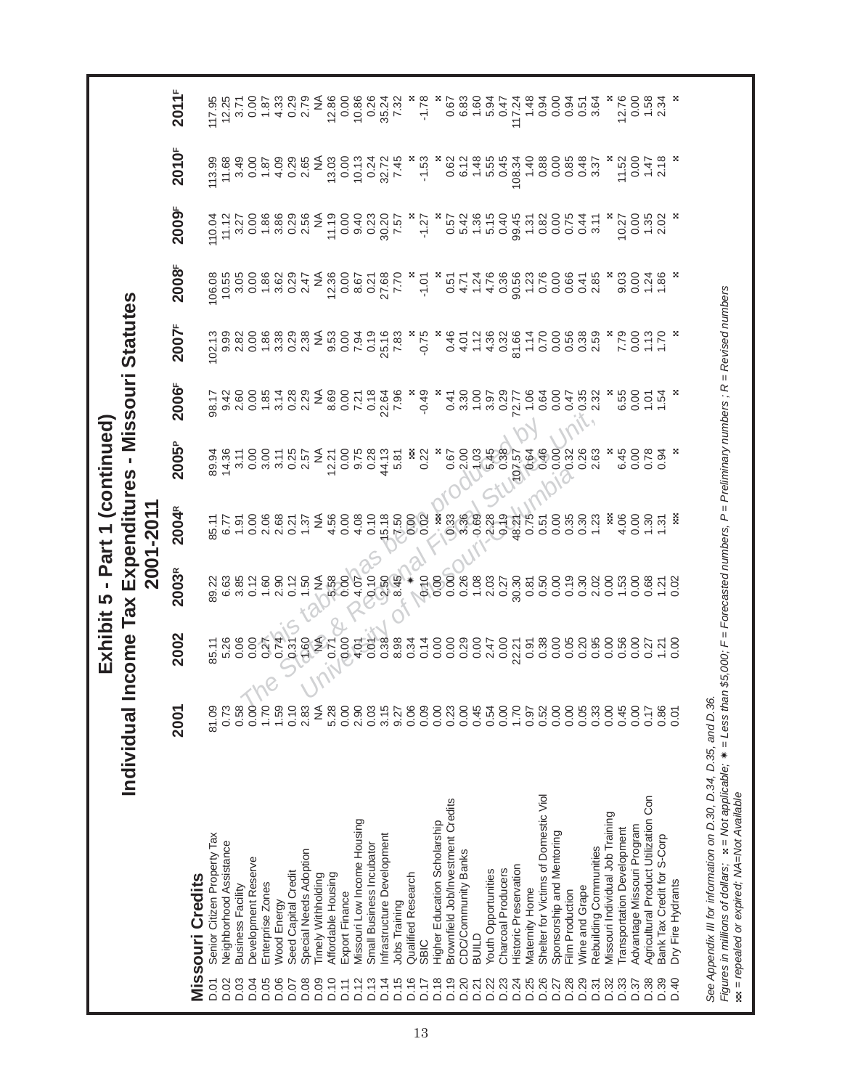$2011F$  **2001 2002 2003R 2004R 2005P 2006F 2007F 2008F 2009F 2010F 2011F** D.06 Wood Energy 1.59 0.74 2.90 2.68 3.11 3.14 3.38 3.62 3.86 4.09 4.33 117.95<br>12.25  $0.5700$ <br>  $0.5700$ <br>  $0.5700$ <br>  $0.5700$  $-1.78$ 0.67 6.83  $\begin{array}{c} 1.60 \\ 5.94 \\ 0.47 \end{array}$ 117.24  $1.48$ <br>0.94  $0.00$ 0.51<br>0.51 3.64 12.76  $0.00$  $1.58$ <br>2.34 95.02 Senior Computed Dr.01 201.09 12:09 45.08 12:08 12:08 9.01 89.18 112.04 102.12 102.12 102.13 112.95 112.9 D.02 Neighborhood Assistance 0.73 5.26 6.63 6.77 14.36 9.42 9.99 10.55 11.12 11.68 12.25  $3.71$ D.04 Development Reserve 0.00 0.00 0.12 0.00 0.00 0.00 0.00 0.00 0.00 0.00 0.00 D.05 Enterprise Zones 1.70 0.27 1.60 2.06 3.00 1.85 1.86 1.86 1.86 1.87 1.87 D.07 Seed Capital Credit 0.10 0.31 0.12 0.21 0.25 0.28 0.29 0.29 0.29 0.29 0.29 D.08 Special Needs Adoption 1.00 1.50 1.37 2.57 2.29 2.29 2.38 2.56 2.56 2.65 2.65 2.79 ₹ D.09 Timely Withholding NA NA NA NA NA NA NA NA NA NA NA D.10 Affordable Housing 5.28 0.71 5.58 4.56 12.21 8.69 9.53 12.36 11.19 13.03 12.86 D.11 Export Finance 0.00 0.00 0.00 0.00 0.00 0.00 0.00 0.00 0.00 0.00 0.00 D.12 Missouri Low Income Housing 2.12 17.2 9.14 9.07 10.14 9.01 10.14 9.07.201 2.07 9.13 10.13 10.13 10.13 10.1 D.13 Small Business Incubator 0.03 0.01 0.10 0.10 0.28 0.18 0.19 0.21 0.23 0.24 0.26 D.14 Infrastructure Development Development 3.15 0.38 0.38 0.38 15.18 44.13 22.64 22.64 22.16 27.68 30.20 32.72 D.15 Jobs Training 1.57 9.27 9.32 8.98 8.98 5.81 7.82 7.83 7.83 7.83 7.82 7.57 7.45 7.45 7.32 D.16 Quali ed Research 0.06 0.34 fi Ñ 0.00 D.17 SBIC 0.09 0.14 0.10 0.02 0.22 -0.49 -0.75 -1.01 -1.27 -1.53 -1.78 × × × × × × ∞ ∞ × ⊙oio ooio ooio ooio diusagouponou au alisagouponou au alisagouponou au alisagoupo D.19 Brown eld Job/Investment Credits 0.23 0.00 0.00 0.33 0.67 0.41 0.46 0.51 0.57 0.62 0.67 fi D.20 CDC/CDC/CDC/COMMUNIty Banks 14.71 5.42 6.12 0.12 4.01 4.14 5.42 6.12 5.42 6.12 5.42 6.12 D.21 BUILD 0.45 0.00 1.08 0.69 1.03 1.00 1.12 1.24 1.36 1.48 1.60 D.22 Youth Opportunities 1.55 3.94 2.47 2.47 2.45 5.45 3.97 4.36 4.36 4.36 4.76 5.15 5.55 5.55 D.23 Charcoal Producers 0.00 0.00 0.27 0.19 0.38 0.29 0.32 0.36 0.40 0.45 0.47 D.24 Historic Preservation 1.70 1.70 22.21 48.21 48.21 70<u>.57</u> 72.77 81.66 90.56 99.45 108.34 117.24 D.25 Maternity Home 0.97 0.91 0.81 0.75 0.64 1.06 1.14 1.23 1.31 1.40 1.48 D.26 Shelter for Victims of Domestic Viol 0.52 0.50 0.51 0.54 0.64 0.64 0.76 0.76 0.76 0.76 0.88 0.88 0.88 0.94 D.27 Sponsorship and Mentoring 0.00 0.00 0.00 0.00 0.00 0.00 0.00 0.00 0.00 0.00 0.00 D.28 Film Production 0.00 0.05 0.19 0.35 0.32 0.47 0.56 0.66 0.75 0.85 0.94 D.31 Rebuilding Communities 1.02 0.95 2.63 2.63 2.63 2.59 2.59 2.59 2.59 2.59 2.57 3.37 3.37 D.32 Missouri Individual Job Training 0.00 0.00 0.00 D.33 Transportation Development 0.45 0.56 1.53 4.06 6.45 6.55 7.79 9.03 10.27 11.52 12.76 0010 0010 0010 0010 0010 0010 0010 0010 0010 0010 0010 00<br>0010 0010 0010 0010 0010 0010 0010 0010 0010 0010 0010 D.38 Agricultural Product Utilization D.17 0.27 0.27 0.27 0.27 0.27 0.27 1.47 1.35 1.47 1.35 1.47 1.24 1.25 1. D.39 Bank Tax Credit for S-Corp 0.86 1.21 1.21 1.31 0.94 1.54 1.70 1.86 2.02 2.18 2.34 D.40 Dry Fire Hydrants 0.01 0.00 0.02 D.03 Business Facility Blusiness Facility D.05 1.91 3.85 1.91 3.11 3.11 3.28 3.82 3.27 3.27 3.27 3.27 3.27 D.29 Wine and U.20 Wine and Grape 20.20 0.20 0.20 0.20 0.30 0.300 0.300 0.300 0.35 0.41 0.44 0.44 0. 2010<sup>F</sup> 113.99 3.49  $0.87$ <br> $-4.09$ 0.26<br>2.65<br>2.0 13.03  $\frac{10.13}{0.24}$  $6.12$ 5.55 0.45 0.88 × 32.72 7.45  $-1.53$  $0.62$ 1.48 108.34  $1,40$  $0.00$  $0.85$  $0.48$  $3.37$ 11.52  $0.00$  $1.47$ <br>2.18 2009<sup>F</sup>  $0.888000$ <br> $0.700000$  $11.19$  $0.00$ 9.40<br>0.23  $0.57$ <br> $5.42$ <br> $1.36$ 5.15 99.45  $0.00$  $0.75$ <br> $0.41$ <br> $3.11$  $1.35$ <br> $2.02$ 30.20 0.40 0.82  $0.00$ 110.04  $11.12$ 3.27 ≨  $-1.27$ 10.27  $1.31$ **2008**F 106.08 3.05  $0.862$ <br> $-1.82$ 0.29 **12.36**  $0.00$  $8.67$ <br>0.21 27.68  $1.24$ <br> $4.76$ 0.36 90.56  $0.76$  $0.00$ 0.66  $0.41$ <br>2.85 9.03  $0.00$ 1.24 10.55 2.47 ≨  $-1.01$  $0.51$ <br>4.71  $1.23$ 1.86 Individual Income Tax Expenditures - Missouri Statutes **Individual Income Tax Ex pen di tures - Missouri Statutes** 2007F  $102.13$ <br> $9.99$ 2.82  $0.88$ <br> $-3.38$ 0.29<br>2.38 9.53  $0.00$  $0.19$ 25.16 0.46  $1.12$ 4.36 0.32 81.66  $\frac{1.14}{9.70}$  $0.00$ 56<br>0.30<br>0.0 N 7.79  $1.70$ 7.83  $-0.75$ 4.01 ≸ 7.94 2006<sup>F</sup>  $0.00$  $1.54$  $\widetilde{\geq}$ 6.55 *The State & Regional Fiscal Studies Unit,*  **Exhibit 5 - Part 1 (continued)** Exhibit 5 - Part 1 (continued) 1.60 2.06 3.31<br>
2.30 2.36 3.11<br>
2.30 0.21 0.21 0.21<br>
2.30 0.21 0.21 0.21<br>
2.57<br>
1.37<br>
1.37<br>
1.40 0.00 0.00 0.00 0.22<br>
1.37<br>
1.40 0.00 0.00<br>
1.40 0.00<br>
0.00 0.00<br>
0.00 0.00<br>
0.00 0.00<br>
0.00 0.00<br>
0.00 0.00<br>
1.00 0.00<br>
0.00 2005<sup>P</sup>  $\boldsymbol{\times}$ 6.45  $0.00$ 89.94<br>14.36 0.78  $0.94$ × 1.50<br>
1.50<br>
1.50<br>
1.60<br>
1.60<br>
1.60<br>
1.60<br>
1.60<br>
1.60<br>
1.60<br>
1.60<br>
1.60<br>
1.50<br>
1.50<br>
1.50<br>
1.50<br>
1.60<br>
1.60<br>
1.60<br>
0.00<br>
0.00<br>
1.60<br>
0.00<br>
0.00<br>
0.00<br>
0.00<br>
0.00<br>
0.00<br>
0.00<br>
0.00<br>
0.00<br>
0.00<br>
0.00<br>
0.00<br>
0.00<br>
0.00<br>
1.00<br> 2001-2011 **2001-2011** 2004R 4.06 85.11 ğ.  $1.30$ Ř  $6.77$  $1.31$ 2003R 89.22  $1.53$ <br>0.00  $1.21$ <br>0.02 0.68 2002 85.11<br>5.26  $1.21$ <br>0.00  $0.27$ 2001 81.09  $0.45$ <br>0.00 585<br>0.86<br>0.0 Shelter for Victims of Domestic Viol Agricultural Product Utilization Con Brownfield Job/Investment Credits Missouri Individual Job Training Missouri Low Income Housing Higher Education Scholarship Advantage Missouri Program Transportation Development Sponsorship and Mentoring Senior Citizen Property Tax Bank Tax Credit for S-Corp nfrastructure Developmen Neighborhood Assistance Small Business Incubator Rebuilding Communities Special Needs Adoption CDC/Community Banks Development Reserve **Historic Preservation** Charcoal Producers Youth Opportunities Seed Capital Credit Affordable Housing Qualified Research **Missouri Credits Missouri Credits Timely Withholding** Enterprise Zones Dry Fire Hydrants **Business Facility Nine and Grape** Maternity Home Film Production Export Finance **Nood Energy** Jobs Training BUILD **SBIC** 0.06<br>0.06<br>0.07 **0.09**<br>D.09  $D.10$ D.13  $D.14$ 0.15<br>D.17<br>D.17  $\begin{array}{c} 8888 \\ 0.000 \\ 0.000 \end{array}$ **D.03** D.04  $D.11$ **D.01** 

Figures in millions of dollars; x = Not applicable; \* = Less than \$5,000; F = Forecasted numbers, P = Preliminary numbers ; R = Revised numbers Ñ *= Less than \$5,000; F = Forecasted numbers, P = Preliminary numbers ; R = Revised numbers Figures in millions of dollars;*  $\boldsymbol{\mathrm{x}} =$  Not applicable; ex = repealed or expired; NA=Not Available  *= repealed or expired; NA=Not Available*

See Appendix III for information on D.30, D.34, D.35, and D.36. *See Appendix III for information on D.30, D.34, D.35, and D.36.*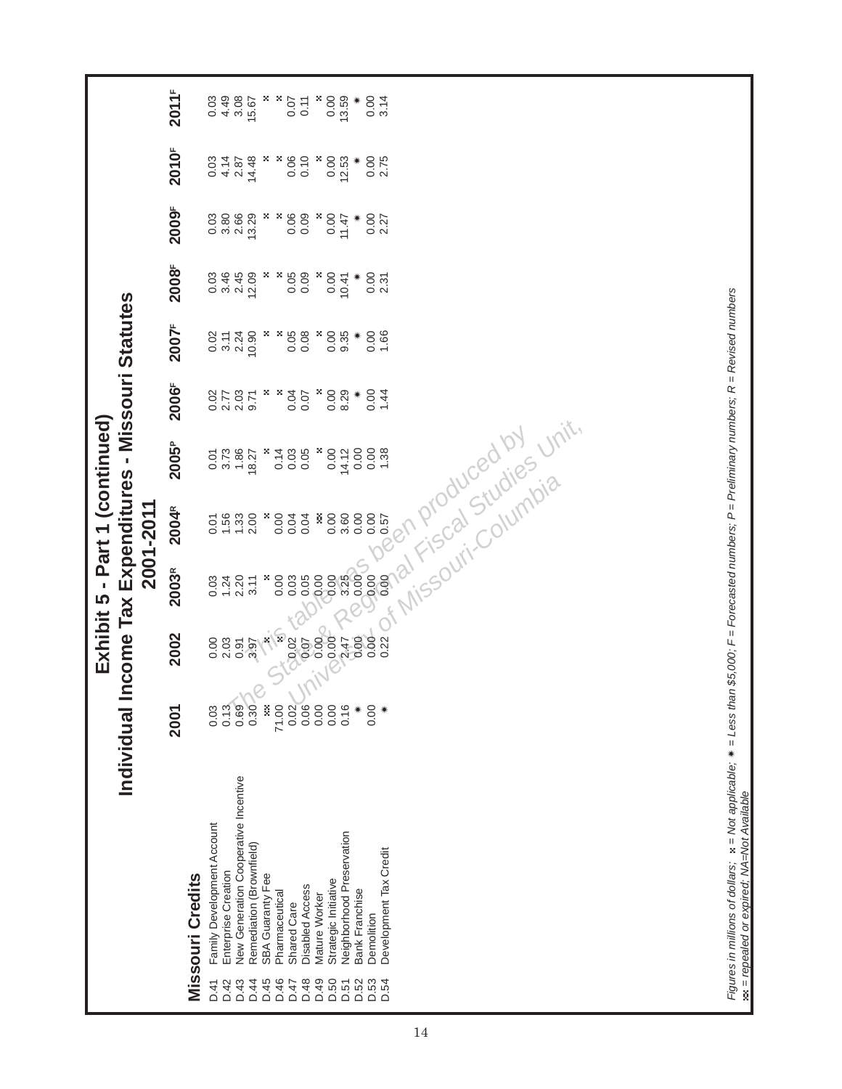|    |                                                                                                                                                                                                                                                                                                                                                                                                                                                                                  | Individual Income Tax Expenditures - Missouri Statutes                                     |                                                                                      |                                                                           | Exhibit 5 - Part 1 (continued)<br>2001-2011                                                                                                    |                                                                                                                          |                                                                                                 |                                                                                                  |                                                                                          |                                                                                                 |                                                                                                   |                                                                                                |
|----|----------------------------------------------------------------------------------------------------------------------------------------------------------------------------------------------------------------------------------------------------------------------------------------------------------------------------------------------------------------------------------------------------------------------------------------------------------------------------------|--------------------------------------------------------------------------------------------|--------------------------------------------------------------------------------------|---------------------------------------------------------------------------|------------------------------------------------------------------------------------------------------------------------------------------------|--------------------------------------------------------------------------------------------------------------------------|-------------------------------------------------------------------------------------------------|--------------------------------------------------------------------------------------------------|------------------------------------------------------------------------------------------|-------------------------------------------------------------------------------------------------|---------------------------------------------------------------------------------------------------|------------------------------------------------------------------------------------------------|
|    |                                                                                                                                                                                                                                                                                                                                                                                                                                                                                  | 2001                                                                                       | 2002                                                                                 | 2003R                                                                     | 2004R                                                                                                                                          | 2005 <sup>P</sup>                                                                                                        | 2006F                                                                                           | 2007F                                                                                            | 2008F                                                                                    | 2009F                                                                                           | 2010 <sup>F</sup>                                                                                 | 2011 <sup>F</sup>                                                                              |
|    | <b>Missouri Credits</b>                                                                                                                                                                                                                                                                                                                                                                                                                                                          |                                                                                            |                                                                                      |                                                                           |                                                                                                                                                |                                                                                                                          |                                                                                                 |                                                                                                  |                                                                                          |                                                                                                 |                                                                                                   |                                                                                                |
| 14 | New Generation Cooperative Incentive<br>Family Development Account<br>Neighborhood Preservation<br>Remediation (Brownfield)<br>Development Tax Credit<br>Enterprise Creation<br>SBA Guaranty Fee<br>Strategic Initiative<br><b>Disabled Access</b><br>Bank Franchise<br>Pharmaceutical<br>Mature Worker<br><b>Shared Care</b><br>Demolition<br>D.48<br>D.49<br>D.50<br>D.52<br>D.53<br><b>D.54</b><br>D.41<br>D.42<br>D.43<br>D.46<br><b>D.44</b><br>D.45<br><b>D.51</b><br>D.47 | ă<br>0.13<br>0.69<br>0.30<br>71.00<br>0.02<br>0.06<br>0.00<br>0.00<br>0.16<br>0.00<br>0.03 | <b>HIMA</b><br>0.000<br>0.00<br>0.22<br>0.00<br>2.47<br>2.03<br>0.00<br>0.91<br>3.97 | 3.25<br>0.05<br>8.89<br>×<br>0.03<br>1.24<br>2.20<br>0.00<br>0.03<br>3.11 | Fiscal Studies<br>Missouri-Columbia<br>0.00<br>0.00<br>$1.56$<br>$1.33$<br>$2.00$<br>Ř<br>3.60<br>0.00<br>0.00<br>0.04<br>0.04<br>0.57<br>0.01 | <b>Unit,</b><br>0.00<br>0.03<br>0.05<br>×<br>0.00<br>0.00<br>1.38<br>3.73<br>1.86<br>×<br>0.14<br>14.12<br>18.27<br>0.01 | ×<br>×<br>0.04<br>×<br>0.00<br>8.29<br>0.00<br>1.44<br>2.03<br>0.07<br>$0.02$<br>$2.77$<br>9.71 | 2.24<br>10.90<br>×<br>×<br>0.05<br>0.08<br>×<br>0.00<br>9.35<br>0.00<br>1.66<br>$0.02$<br>$3.11$ | 2.45<br>×<br>×<br>0.05<br>3.46<br>12.09<br>0.09<br>0.00<br>0.00<br>0.03<br>10.41<br>2.31 | 3.80<br>2.66<br>13.29<br>×<br>×<br>88<br>0.09<br>0.00<br>$0.00$<br>$2.27$<br>×<br>0.03<br>11.47 | ×<br>0.06<br>0.10<br>×<br>0.00<br>$0.00$<br>$2.75$<br>4.14<br>14.48<br>×<br>12.53<br>2.87<br>0.03 | 0.00<br>13.59<br>0.00<br>3.14<br>4.49<br>3.08<br>×,<br>×<br>×<br>0.03<br>15.67<br>0.07<br>0.11 |
|    | Figures in millions of dollars; ×= Not applicable; ∗= Less than \$5,000; F = Forecasted numbers; P = Preliminary numbers; R = Revised numbers<br>wa = repealed or expired; NA=Not Available                                                                                                                                                                                                                                                                                      |                                                                                            |                                                                                      |                                                                           |                                                                                                                                                |                                                                                                                          |                                                                                                 |                                                                                                  |                                                                                          |                                                                                                 |                                                                                                   |                                                                                                |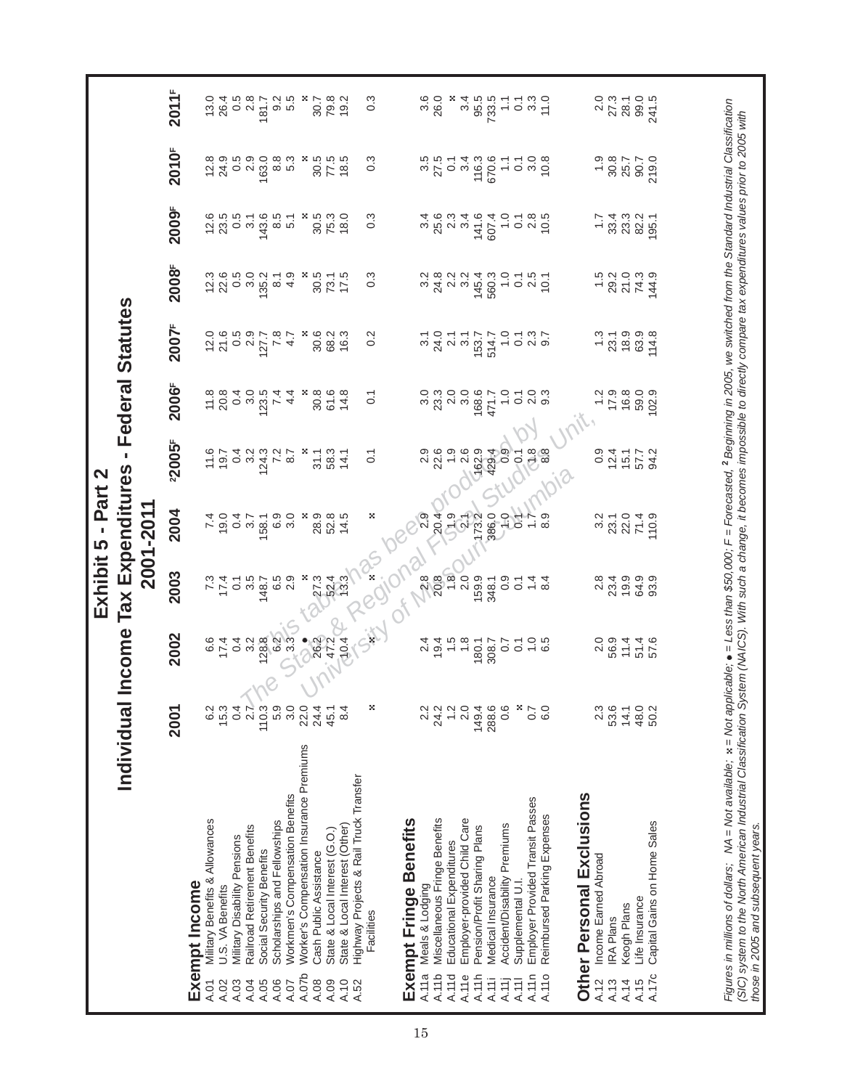|                                                                                                                                                                                                                              |                  |                                                                   |                                 | Exhibit 5 - Part 2                      |                        |                                                                           |                                 |                                                                                                                                                                                                                                     |                                                                          |                                                                     |                   |
|------------------------------------------------------------------------------------------------------------------------------------------------------------------------------------------------------------------------------|------------------|-------------------------------------------------------------------|---------------------------------|-----------------------------------------|------------------------|---------------------------------------------------------------------------|---------------------------------|-------------------------------------------------------------------------------------------------------------------------------------------------------------------------------------------------------------------------------------|--------------------------------------------------------------------------|---------------------------------------------------------------------|-------------------|
| Individual                                                                                                                                                                                                                   |                  | Income                                                            |                                 | <b>Tax Expenditures</b><br>2001-2011    |                        |                                                                           | Federal Statutes                |                                                                                                                                                                                                                                     |                                                                          |                                                                     |                   |
|                                                                                                                                                                                                                              | 2001             | 2002                                                              | 2003                            | 2004                                    | 22005F                 | 2006F                                                                     | 2007F                           | 2008F                                                                                                                                                                                                                               | 2009F                                                                    | 2010 <sup>F</sup>                                                   | 2011 <sup>F</sup> |
| Exempt Income                                                                                                                                                                                                                |                  |                                                                   |                                 |                                         |                        |                                                                           |                                 |                                                                                                                                                                                                                                     |                                                                          |                                                                     |                   |
| Military Benefits & Allowances<br>A.01                                                                                                                                                                                       | 6.2              | 6.6                                                               |                                 | 7.9.0                                   | 19.7                   | $\frac{11.8}{20.8}$                                                       |                                 | 12.3                                                                                                                                                                                                                                | 12.6                                                                     |                                                                     | 13.0              |
| U.S. VA Benefits<br>A.02                                                                                                                                                                                                     | 15.3             | 17.4                                                              | $7\frac{7}{4}$                  |                                         |                        |                                                                           |                                 | 22.6                                                                                                                                                                                                                                | 23.5                                                                     |                                                                     | 26.4              |
| Military Disability Pensions<br>A.03                                                                                                                                                                                         | 0.4              | 0.4                                                               | $\overline{O}$                  | $\overline{0}$                          |                        | 0.4                                                                       |                                 |                                                                                                                                                                                                                                     | 0.5                                                                      |                                                                     |                   |
| Railroad Retirement Benefits<br>A.04                                                                                                                                                                                         | 2.7              | 3.2                                                               | 3.5                             | 5.7                                     | $0.4$<br>$0.2$         | 3.0                                                                       |                                 | $0.5$<br>$3.0$                                                                                                                                                                                                                      | $\overline{31}$                                                          |                                                                     | 5<br>0.8<br>0.2   |
| Social Security Benefits<br>A.05                                                                                                                                                                                             | 110.3            | 128.8                                                             | 148.7                           | 58.1                                    |                        | 123.5                                                                     | 127.7                           | 135.2                                                                                                                                                                                                                               | 143.6                                                                    | 163.0                                                               | 181.7             |
| Scholarships and Fellowships<br>A.06                                                                                                                                                                                         | 5.9              | 6.2                                                               | 6.5                             | 6.9                                     |                        | 7.4                                                                       | 7.8                             | $\overline{\circ}$                                                                                                                                                                                                                  | 8.5                                                                      |                                                                     |                   |
| Workmen's Compensation Benefits<br>A.07                                                                                                                                                                                      | 3.0              | 3.3                                                               | 2.9                             | 3.0                                     | $124.3$<br>7.2<br>8.7  | 4.4                                                                       | 4.7                             | 4.9                                                                                                                                                                                                                                 | 5.1                                                                      | 8.3<br>5.3                                                          | 0.5<br>0.5        |
| Worker's Compensation Insurance Premiums<br>A.07b                                                                                                                                                                            | 22.0             |                                                                   | ×                               |                                         | 89                     |                                                                           | х,                              |                                                                                                                                                                                                                                     |                                                                          |                                                                     | ×                 |
| Cash Public Assistance<br>A.08                                                                                                                                                                                               | 24.4             | $\frac{8}{26}$<br>26.22                                           | 27.3                            | 28.9                                    | $31.1$<br>58.3         |                                                                           |                                 | 3<br>221<br>232<br>242                                                                                                                                                                                                              | $\frac{8}{30}$                                                           |                                                                     | 30.7              |
| State & Local Interest (G.O.)<br>A.09                                                                                                                                                                                        | 45.1             |                                                                   | 52.4                            | 52.8                                    |                        | $30.68$<br>$54.8$                                                         | 8<br>8<br>8<br>9<br>9<br>9<br>9 |                                                                                                                                                                                                                                     | 75.3<br>18.0                                                             |                                                                     | 79.8              |
| State & Local Interest (Other)<br>A.10                                                                                                                                                                                       | 8.4              | 10.4                                                              |                                 | 14.5                                    | 14.1                   |                                                                           |                                 |                                                                                                                                                                                                                                     |                                                                          |                                                                     | 19.2              |
| Highway Projects & Rail Truck Transfer<br>Facilities<br>A.52                                                                                                                                                                 |                  |                                                                   |                                 |                                         | $\overline{0}$ :       | $\overline{0}$ :                                                          | 0.2                             | $0.\overline{3}$                                                                                                                                                                                                                    | $0.\overline{3}$                                                         | $0.\overline{3}$                                                    | $0.\overline{3}$  |
|                                                                                                                                                                                                                              | ×                |                                                                   |                                 | ×                                       |                        |                                                                           |                                 |                                                                                                                                                                                                                                     |                                                                          |                                                                     |                   |
| Exempt Fringe Benefits                                                                                                                                                                                                       |                  |                                                                   |                                 |                                         |                        |                                                                           |                                 |                                                                                                                                                                                                                                     |                                                                          |                                                                     |                   |
| Meals & Lodging<br>A.11a                                                                                                                                                                                                     | 2.2              |                                                                   | $30.88$<br>$-20.89$<br>$-20.99$ | 2.9                                     |                        |                                                                           |                                 |                                                                                                                                                                                                                                     |                                                                          |                                                                     | 3.6               |
| Miscellaneous Fringe Benefits<br>A.11b                                                                                                                                                                                       | 24.2             |                                                                   |                                 |                                         | 22.6                   |                                                                           |                                 |                                                                                                                                                                                                                                     |                                                                          | $3.5$<br>$27.5$                                                     | 26.0              |
| Educational Expenditures<br>A.11d                                                                                                                                                                                            | $\frac{2}{1}$    | $74.494$<br>$79.494$<br>$79.498$<br>$79.77$<br>$79.77$<br>$79.77$ |                                 | 20.4                                    |                        | $\begin{array}{c} 0.00000 \\ 0.00000 \\ 0.00000 \\ 0.0000 \\ \end{array}$ |                                 | $\begin{array}{cccccc} \circ & \circ & \circ & \circ & \circ & \circ & \circ & \circ \\ \circ & \circ & \circ & \circ & \circ & \circ & \circ & \circ \\ \circ & \circ & \circ & \circ & \circ & \circ & \circ & \circ \end{array}$ | $\begin{array}{c} 460 \\ 760 \\ 760 \\ 140 \\ 140 \\ \hline \end{array}$ |                                                                     |                   |
| Employer-provided Child Care<br>A.11e                                                                                                                                                                                        | 2.0              |                                                                   |                                 |                                         |                        |                                                                           |                                 |                                                                                                                                                                                                                                     |                                                                          |                                                                     | 3.4               |
| Pension/Profit Sharing Plans<br>A.11h                                                                                                                                                                                        | 149.4            |                                                                   |                                 |                                         | $1.9$<br>$\sqrt{62.9}$ |                                                                           |                                 |                                                                                                                                                                                                                                     |                                                                          |                                                                     | 95.5              |
| Medical Insurance<br>A.11i                                                                                                                                                                                                   | 288.6            |                                                                   | 348.1                           |                                         |                        |                                                                           |                                 |                                                                                                                                                                                                                                     | 607.4                                                                    |                                                                     | 733.5             |
| Accident/Disability Premiums<br>A.11j                                                                                                                                                                                        | 0.6              |                                                                   | 0.9                             | $380 - 5$                               | $29.4$<br>0.9          | $\frac{1}{2}$                                                             |                                 |                                                                                                                                                                                                                                     | $\frac{0}{1}$                                                            | $0.7888770$ $0.7888770$ $0.788870$ $0.788870$ $0.788870$ $0.788870$ | $\ddot{ }$        |
|                                                                                                                                                                                                                              |                  |                                                                   |                                 |                                         |                        |                                                                           |                                 |                                                                                                                                                                                                                                     |                                                                          |                                                                     |                   |
| Supplemental U.I<br>A.111                                                                                                                                                                                                    | ×                |                                                                   | $\overline{O}$                  |                                         | $\frac{1}{2}$          | $\overline{0}$                                                            |                                 |                                                                                                                                                                                                                                     |                                                                          |                                                                     | $\frac{1}{3}$ .3  |
| Employer Provided Transit Passes<br>A.11n                                                                                                                                                                                    | 0.7<br>6.0       | $7 - 5$<br>$-6$<br>$-6$                                           | $\frac{4}{4}$ $\frac{9}{4}$     | 8.9<br>1,                               | $\frac{8}{2}$<br>8.8   | ္လ က<br>လ တ                                                               |                                 | 10.1                                                                                                                                                                                                                                | 0.780                                                                    | 10.8                                                                | 11.0              |
| Reimbursed Parking Expenses<br>A.110                                                                                                                                                                                         |                  |                                                                   |                                 |                                         |                        |                                                                           |                                 |                                                                                                                                                                                                                                     |                                                                          |                                                                     |                   |
| Other Personal Exclusions                                                                                                                                                                                                    |                  |                                                                   |                                 |                                         |                        |                                                                           |                                 |                                                                                                                                                                                                                                     |                                                                          |                                                                     |                   |
| Income Earned Abroad<br>A.12                                                                                                                                                                                                 | $2.\overline{3}$ | 2.0                                                               | 2.8                             | 3.2                                     | 0.9                    |                                                                           | $\frac{3}{2}$                   | 1.5                                                                                                                                                                                                                                 | $\ddot{ }$ :                                                             | $\frac{0}{1}$                                                       | 2.0               |
| <b>IRA Plans</b><br>A.13                                                                                                                                                                                                     | 53.6             | 56.9                                                              | 23.4                            |                                         | 12.4                   | 17.9                                                                      |                                 | 29.2                                                                                                                                                                                                                                | 33.4                                                                     | 30.8                                                                | 27.3              |
| Keogh Plans<br>A.14                                                                                                                                                                                                          | 14.1             | $1440$<br>$440$<br>$440$                                          | 19.9                            | $23.1$<br>$29.49$<br>$79.59$<br>$19.59$ | $15.7$<br>57.7<br>54.2 | 16.8                                                                      | $73.9$<br>$78.9$<br>$63.9$      | 21.3.9<br>744.9<br>21.9                                                                                                                                                                                                             | 23.3<br>82.2                                                             | 25.7<br>90.7                                                        | 28.1              |
| Life Insurance<br>A.15                                                                                                                                                                                                       | 48.0             |                                                                   | 64.9                            |                                         |                        |                                                                           |                                 |                                                                                                                                                                                                                                     |                                                                          |                                                                     | 99.0              |
| Capital Gains on Home Sales<br>A.17c                                                                                                                                                                                         | 50.2             |                                                                   | 93.9                            |                                         |                        | 59.0<br>102.9                                                             | 114.8                           |                                                                                                                                                                                                                                     | 195.1                                                                    | 219.0                                                               | 241.5             |
|                                                                                                                                                                                                                              |                  |                                                                   |                                 |                                         |                        |                                                                           |                                 |                                                                                                                                                                                                                                     |                                                                          |                                                                     |                   |
| Figures in millions of dollars; NA = Not available; x = Not applicable; e = Less than \$50,000; F = Forecasted; <sup>2</sup> Beginning in 2005, we switched from the Standard Industrial Classification                      |                  |                                                                   |                                 |                                         |                        |                                                                           |                                 |                                                                                                                                                                                                                                     |                                                                          |                                                                     |                   |
| (SIC) system to the North American Industrial Classification System (NAICS). With such a change, it becomes impossible to directly compare tax expenditures values prior to 2005 with<br>those in 2005 and subsequent years. |                  |                                                                   |                                 |                                         |                        |                                                                           |                                 |                                                                                                                                                                                                                                     |                                                                          |                                                                     |                   |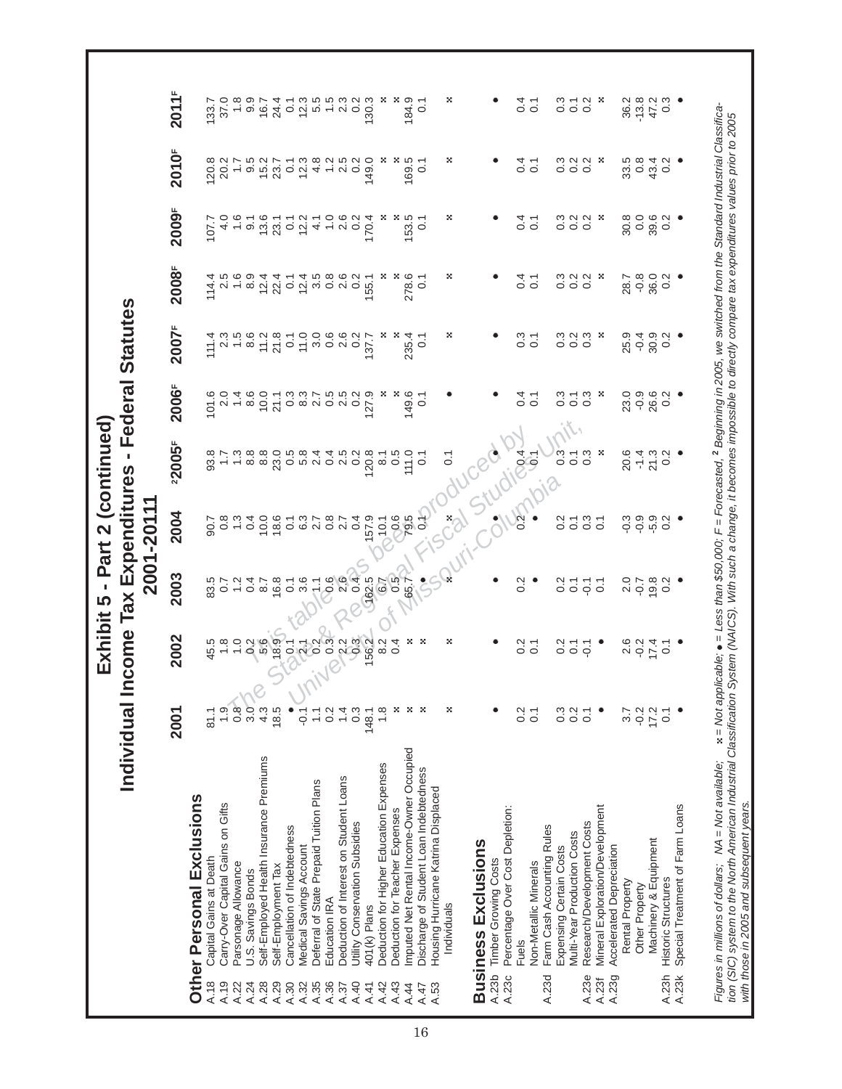|                                                                                                                                                                                       | Individual In                                                                                                                                            |                       |                  | Exhibit 5 - Part 2 (continued)<br>come Tax Expenditures | $\mathbf{r}$      |                   | <b>Federal Statutes</b> |                                                                                       |                   |                   |                           |
|---------------------------------------------------------------------------------------------------------------------------------------------------------------------------------------|----------------------------------------------------------------------------------------------------------------------------------------------------------|-----------------------|------------------|---------------------------------------------------------|-------------------|-------------------|-------------------------|---------------------------------------------------------------------------------------|-------------------|-------------------|---------------------------|
|                                                                                                                                                                                       |                                                                                                                                                          |                       |                  | 2001-20111                                              |                   |                   |                         |                                                                                       |                   |                   |                           |
|                                                                                                                                                                                       | 2001                                                                                                                                                     | 2002                  | 2003             | 2004                                                    | 22005F            | 2006 <sup>F</sup> | 2007 <sup>F</sup>       | 2008F                                                                                 | 2009F             | 2010 <sup>F</sup> | 2011 <sup>F</sup>         |
| Other Personal Exclusions                                                                                                                                                             |                                                                                                                                                          |                       |                  |                                                         |                   |                   |                         |                                                                                       |                   |                   |                           |
| Capital Gains at Death<br>A.18                                                                                                                                                        | 81.1                                                                                                                                                     | 45.5                  | 83.5             | 90.7                                                    | 93.8              | 101.6             | 111.4                   | 114.4                                                                                 | 107.7             | 120.8             | 133.7                     |
| Carry-Over Capital Gains on Gifts<br>A.19                                                                                                                                             | 1.9                                                                                                                                                      | $\frac{8}{1}$         | $\overline{0.7}$ | $0.\overline{8}$                                        |                   | 2.0               | 2.3                     | 2.5                                                                                   | 4.0               | 20.2              | 37.0                      |
| Parsonage Allowance<br>A.22                                                                                                                                                           | $0.\overline{8}$                                                                                                                                         | $\overline{1}$ .0     | 1.2              | $1.\overline{3}$                                        | $1.\overline{3}$  | $1\overline{4}$   | 1.5                     | 1.6                                                                                   | 1.6               | $\overline{1}$ :  | 1.8                       |
| U.S. Savings Bonds<br>A.24                                                                                                                                                            | 3.0                                                                                                                                                      | 0.26                  | 0.4              | 0.4                                                     | 8.8               | 8.6               | 8.6                     | 8.9                                                                                   | $\overline{9}$ .  | $9.5$<br>15.2     | 9.9                       |
| Self-Employed Health Insurance Premiums<br>A.28                                                                                                                                       | 4.3                                                                                                                                                      |                       | 8.7              | 10.0                                                    | 8.8               | 10.0              | 11.2                    | 12.4                                                                                  | 13.6              |                   | 16.7                      |
| Self-Employment Tax<br>A.29                                                                                                                                                           | 18.5                                                                                                                                                     | 18.9                  | 16.8             | 18.6                                                    | 23.0              | 21.1              | 21.8                    | 22.4                                                                                  | 23.1              | 23.7              | 24.4                      |
| Cancellation of Indebtedness<br>A.30                                                                                                                                                  |                                                                                                                                                          | $\overline{C}$        | $\overline{O}$   | $\overline{0}$ .                                        | $0.\overline{5}$  | $0.\overline{3}$  | $\overline{0}$ .        | $\overline{0}$ .                                                                      | $\overline{0}$ .  | $\overline{0}$ .  | $\overline{O}$            |
| Medical Savings Account<br>A.32                                                                                                                                                       | $-0.1$                                                                                                                                                   | $\sqrt{6}$            | 3.6              | 6.3                                                     | 5.8               |                   | 11.0                    | 12.4                                                                                  | 12.2              | 12.3              |                           |
| Deferral of State Prepaid Tuition Plans<br>A.35                                                                                                                                       | $\frac{1}{1}$                                                                                                                                            |                       | $\sum_{i=1}^{n}$ | 2.7                                                     | 2.4               |                   | 0.6.6.2<br>0.6.0.0      | 5<br>5<br>5<br>5<br>5<br>5<br>5<br>5<br>5<br>5<br>5<br>5<br>5<br>5<br>5<br>5<br>5<br> | $\frac{1}{4}$     | 4.8               | $2.56$<br>$2.56$<br>$1.5$ |
| Education IRA<br>A.36                                                                                                                                                                 | $\frac{2}{3}$                                                                                                                                            | $0.\overline{3}$      |                  | $0.\overline{8}$                                        | 0.4               |                   |                         |                                                                                       | $\overline{1}$ .0 | 1.2               |                           |
| Deduction of Interest on Student Loans<br>A.37                                                                                                                                        | $1\overline{4}$                                                                                                                                          | $222$<br>$992$        | 888              | 2.7                                                     | 2.5<br>0.2        |                   |                         |                                                                                       | 2.6               | 2.5               | 3<br>2<br>0<br>2          |
| Utility Conservation Subsidies<br>A.40                                                                                                                                                | $0.\overline{3}$                                                                                                                                         |                       |                  | 0.4                                                     |                   |                   |                         |                                                                                       | 0.2               | $\frac{2}{3}$     |                           |
| 401(k) Plans<br>A.41                                                                                                                                                                  | 148.1                                                                                                                                                    |                       | 162.5            | 157.9                                                   | 120.8             |                   | 137.7                   | 155.1                                                                                 | 170.4             | 149.0             | 30.3                      |
| Deduction for Higher Education Expenses<br>A.42                                                                                                                                       | 1.8                                                                                                                                                      | 8.2                   | 6.7              | 10.1                                                    | $\overline{8}$ .1 | ×                 |                         |                                                                                       |                   |                   |                           |
| Deduction for Teacher Expenses<br>A.43                                                                                                                                                | ×                                                                                                                                                        | 0.4                   | 0.5              | $-0.6$                                                  | 0.5               | ×                 |                         |                                                                                       |                   |                   |                           |
| mputed Net Rental Income-Owner Occupied<br>A.44                                                                                                                                       | 29                                                                                                                                                       | ×                     | 65.7             | 79.5                                                    | 111.0             | 149.6             | 235.4                   | 278.6                                                                                 | 153.5             | $169.5$<br>0.1    | 184.9                     |
| Discharge of Student Loan Indebtedness<br>A.47                                                                                                                                        | ×                                                                                                                                                        | ×                     |                  | 95                                                      | $\overline{O}$ :  | $\overline{O}$    | $\overline{0}$          | $\overline{0}$ .                                                                      | $\overline{0}$ :  |                   | $\overline{0}$            |
| Housing Hurricane Katrina Displaced<br>A.53                                                                                                                                           |                                                                                                                                                          |                       |                  |                                                         |                   |                   |                         |                                                                                       |                   |                   |                           |
| Individuals                                                                                                                                                                           | ×                                                                                                                                                        | ×                     |                  | $\frac{8}{3}$                                           | $\overline{0}$ :  |                   | ×                       | ×                                                                                     | ×                 | ×                 | ×                         |
| <b>Business Exclusions</b>                                                                                                                                                            |                                                                                                                                                          |                       |                  |                                                         | Studi             |                   |                         |                                                                                       |                   |                   |                           |
| <b>Timber Growing Costs</b><br>A.23b                                                                                                                                                  |                                                                                                                                                          |                       |                  |                                                         |                   |                   |                         |                                                                                       |                   |                   |                           |
| Percentage Over Cost Depletion:<br>A.23c                                                                                                                                              |                                                                                                                                                          |                       |                  |                                                         |                   |                   |                         |                                                                                       |                   |                   |                           |
| <b>Fuels</b>                                                                                                                                                                          | 0.2                                                                                                                                                      |                       | $\frac{2}{3}$    | 0.2                                                     |                   | 0.4               | $\frac{3}{2}$           | $\overline{0}$ .                                                                      | 0.4               | 0.4               | 0.4                       |
| Non-Metallic Minerals                                                                                                                                                                 | $\overline{0}$ .                                                                                                                                         | 0.7                   |                  |                                                         | <b>PO41</b>       | $\overline{0}$ .  | $\overline{O}$          | $\overline{C}$                                                                        | $\overline{O}$    | $\overline{0}$ .  | $\overline{O}$            |
| Farm Cash Accounting Rules<br>A.23d                                                                                                                                                   |                                                                                                                                                          |                       |                  |                                                         |                   |                   |                         |                                                                                       |                   |                   |                           |
| Expensing Certain Costs                                                                                                                                                               | $0.\overline{3}$                                                                                                                                         |                       | $\frac{2}{3}$    | $\frac{2}{3}$                                           | $0.\overline{3}$  | $\frac{3}{2}$     | $0.\overline{3}$        | $0.\overline{3}$                                                                      |                   | $0.\overline{3}$  | $\frac{3}{2}$             |
| Multi-Year Production Costs                                                                                                                                                           | 0.2                                                                                                                                                      | 0.7                   | $\overline{O}$   | $\overline{O}$                                          | $\overline{C}$    | $\overline{C}$    | 0.2                     | 0.2                                                                                   | 0.3               | 0.2               | $\overline{O}$            |
| Research/Development Costs<br>A.23e                                                                                                                                                   | $\overline{0}$ . 1                                                                                                                                       | $\overline{Q}$        | $\overline{Q}$   | $0.\overline{3}$                                        | $0.\overline{3}$  | $0.\overline{3}$  | $0.\overline{3}$        | 0.2                                                                                   | $\frac{2}{3}$ ×   | 0.2               | 0.2                       |
| Mineral Exploration/Development<br>A.23f                                                                                                                                              |                                                                                                                                                          |                       | $\overline{C}$   | $\overline{C}$                                          | ×                 | ×                 | ×                       | -8                                                                                    |                   | -29               | ×                         |
| Accelerated Depreciation<br>A.23g                                                                                                                                                     |                                                                                                                                                          |                       |                  |                                                         |                   |                   |                         |                                                                                       |                   |                   |                           |
| Rental Property                                                                                                                                                                       | 3.7                                                                                                                                                      |                       |                  | $-0.3$                                                  | 20.6              | 23.0              | 25.9                    | 28.7                                                                                  | 30.8              |                   | 36.2                      |
| Other Property                                                                                                                                                                        | $-0.2$                                                                                                                                                   | $0.2$<br>$0.2$        | 2.7<br>2.9       | $-0.9$                                                  | $-1.4$            | $-0.9$<br>26.6    | $-0.4$                  | $-0.8$                                                                                | 0.0               | $33.5$<br>0.8     | $-13.8$                   |
| Machinery & Equipment                                                                                                                                                                 | 17.2                                                                                                                                                     | 17.4                  | 19.8             | $-5.9$                                                  | 21.3              |                   | 30.9                    | 36.0                                                                                  | 39.6              | 43.4              | 47.2                      |
| <b>Historic Structures</b><br>A.23h                                                                                                                                                   | 0.1                                                                                                                                                      | $\overline{\text{o}}$ | 0.2              | 0.2                                                     | 0.2               | 0.2               | 0.2                     | 0.2                                                                                   | 0.2               | $0.\overline{2}$  | $0.\overline{3}$          |
| Special Treatment of Farm Loans<br>A.23k                                                                                                                                              |                                                                                                                                                          |                       |                  | ٠                                                       |                   |                   |                         |                                                                                       |                   |                   |                           |
|                                                                                                                                                                                       |                                                                                                                                                          |                       |                  |                                                         |                   |                   |                         |                                                                                       |                   |                   |                           |
|                                                                                                                                                                                       |                                                                                                                                                          |                       |                  |                                                         |                   |                   |                         |                                                                                       |                   |                   |                           |
| Figures in millions of dollars; NA = Not available;                                                                                                                                   | x = Not applicable; $\bullet$ = Less than \$50,000; F = Forecasted, <sup>2</sup> Beginning in 2005, we switched from the Standard Industrial Classifica- |                       |                  |                                                         |                   |                   |                         |                                                                                       |                   |                   |                           |
| tion (SIC) system to the North American Industrial Classification System (NAICS). With such a change, it becomes impossible to directly compare tax expenditures values prior to 2005 |                                                                                                                                                          |                       |                  |                                                         |                   |                   |                         |                                                                                       |                   |                   |                           |

Г